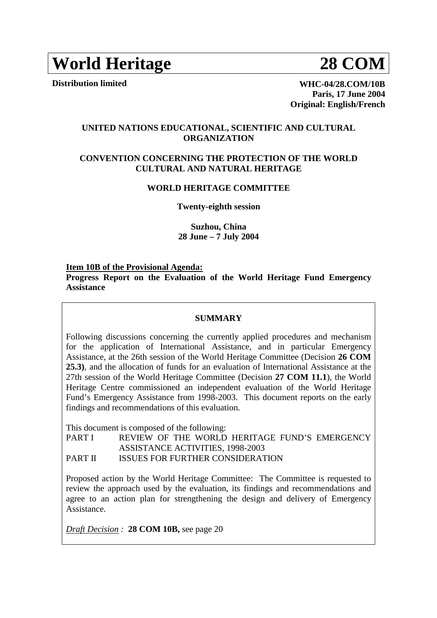# **World Heritage 28 COM**

**Distribution limited WHC-04/28.COM/10B Paris, 17 June 2004**

**Original: English/French**

**UNITED NATIONS EDUCATIONAL, SCIENTIFIC AND CULTURAL ORGANIZATION** 

# **CONVENTION CONCERNING THE PROTECTION OF THE WORLD CULTURAL AND NATURAL HERITAGE**

#### **WORLD HERITAGE COMMITTEE**

**Twenty-eighth session** 

**Suzhou, China 28 June – 7 July 2004** 

#### **Item 10B of the Provisional Agenda:**

**Progress Report on the Evaluation of the World Heritage Fund Emergency Assistance** 

#### **SUMMARY**

Following discussions concerning the currently applied procedures and mechanism for the application of International Assistance, and in particular Emergency Assistance, at the 26th session of the World Heritage Committee (Decision **26 COM 25.3)**, and the allocation of funds for an evaluation of International Assistance at the 27th session of the World Heritage Committee (Decision **27 COM 11.1**), the World Heritage Centre commissioned an independent evaluation of the World Heritage Fund's Emergency Assistance from 1998-2003. This document reports on the early findings and recommendations of this evaluation.

This document is composed of the following:

PART I REVIEW OF THE WORLD HERITAGE FUND'S EMERGENCY ASSISTANCE ACTIVITIES, 1998-2003

PART II ISSUES FOR FURTHER CONSIDERATION

Proposed action by the World Heritage Committee: The Committee is requested to review the approach used by the evaluation, its findings and recommendations and agree to an action plan for strengthening the design and delivery of Emergency Assistance.

*Draft Decision :* **28 COM 10B,** see page 20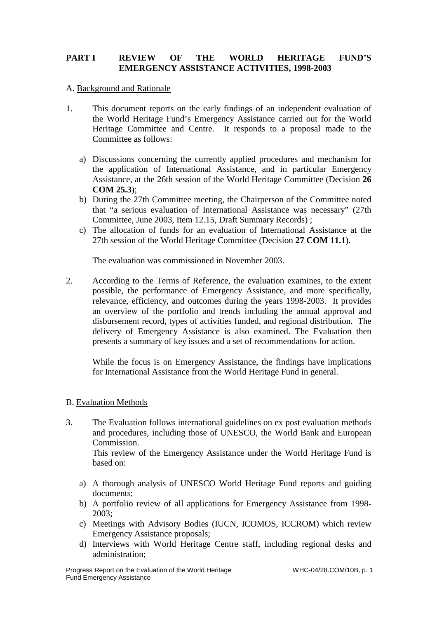# **PART I REVIEW OF THE WORLD HERITAGE FUND'S EMERGENCY ASSISTANCE ACTIVITIES, 1998-2003**

# A. Background and Rationale

- 1. This document reports on the early findings of an independent evaluation of the World Heritage Fund's Emergency Assistance carried out for the World Heritage Committee and Centre. It responds to a proposal made to the Committee as follows:
	- a) Discussions concerning the currently applied procedures and mechanism for the application of International Assistance, and in particular Emergency Assistance, at the 26th session of the World Heritage Committee (Decision **26 COM 25.3**);
	- b) During the 27th Committee meeting, the Chairperson of the Committee noted that "a serious evaluation of International Assistance was necessary" (27th Committee, June 2003, Item 12.15, Draft Summary Records) ;
	- c) The allocation of funds for an evaluation of International Assistance at the 27th session of the World Heritage Committee (Decision **27 COM 11.1**).

The evaluation was commissioned in November 2003.

2. According to the Terms of Reference, the evaluation examines, to the extent possible, the performance of Emergency Assistance, and more specifically, relevance, efficiency, and outcomes during the years 1998-2003. It provides an overview of the portfolio and trends including the annual approval and disbursement record, types of activities funded, and regional distribution. The delivery of Emergency Assistance is also examined. The Evaluation then presents a summary of key issues and a set of recommendations for action.

While the focus is on Emergency Assistance, the findings have implications for International Assistance from the World Heritage Fund in general.

# B. Evaluation Methods

3. The Evaluation follows international guidelines on ex post evaluation methods and procedures, including those of UNESCO, the World Bank and European Commission.

This review of the Emergency Assistance under the World Heritage Fund is based on:

- a) A thorough analysis of UNESCO World Heritage Fund reports and guiding documents;
- b) A portfolio review of all applications for Emergency Assistance from 1998- 2003;
- c) Meetings with Advisory Bodies (IUCN, ICOMOS, ICCROM) which review Emergency Assistance proposals;
- d) Interviews with World Heritage Centre staff, including regional desks and administration;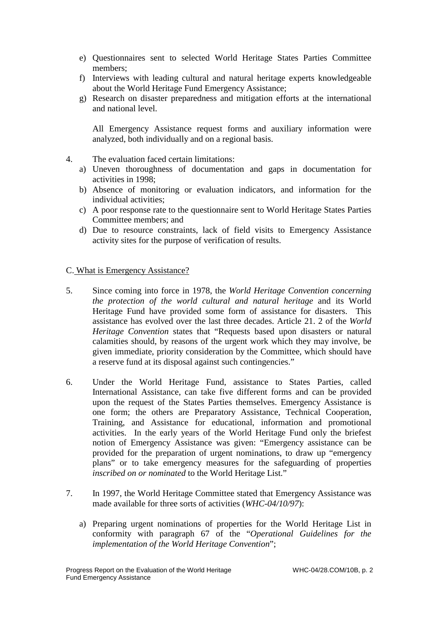- e) Questionnaires sent to selected World Heritage States Parties Committee members;
- f) Interviews with leading cultural and natural heritage experts knowledgeable about the World Heritage Fund Emergency Assistance;
- g) Research on disaster preparedness and mitigation efforts at the international and national level.

All Emergency Assistance request forms and auxiliary information were analyzed, both individually and on a regional basis.

- 4. The evaluation faced certain limitations:
	- a) Uneven thoroughness of documentation and gaps in documentation for activities in 1998;
	- b) Absence of monitoring or evaluation indicators, and information for the individual activities;
	- c) A poor response rate to the questionnaire sent to World Heritage States Parties Committee members; and
	- d) Due to resource constraints, lack of field visits to Emergency Assistance activity sites for the purpose of verification of results.

# C. What is Emergency Assistance?

- 5. Since coming into force in 1978, the *World Heritage Convention concerning the protection of the world cultural and natural heritage* and its World Heritage Fund have provided some form of assistance for disasters. This assistance has evolved over the last three decades. Article 21. 2 of the *World Heritage Convention* states that "Requests based upon disasters or natural calamities should, by reasons of the urgent work which they may involve, be given immediate, priority consideration by the Committee, which should have a reserve fund at its disposal against such contingencies."
- 6. Under the World Heritage Fund, assistance to States Parties, called International Assistance, can take five different forms and can be provided upon the request of the States Parties themselves. Emergency Assistance is one form; the others are Preparatory Assistance, Technical Cooperation, Training, and Assistance for educational, information and promotional activities. In the early years of the World Heritage Fund only the briefest notion of Emergency Assistance was given: "Emergency assistance can be provided for the preparation of urgent nominations, to draw up "emergency plans" or to take emergency measures for the safeguarding of properties *inscribed on or nominated* to the World Heritage List."
- 7. In 1997, the World Heritage Committee stated that Emergency Assistance was made available for three sorts of activities (*WHC-04/10/97*):
	- a) Preparing urgent nominations of properties for the World Heritage List in conformity with paragraph 67 of the "*Operational Guidelines for the implementation of the World Heritage Convention*";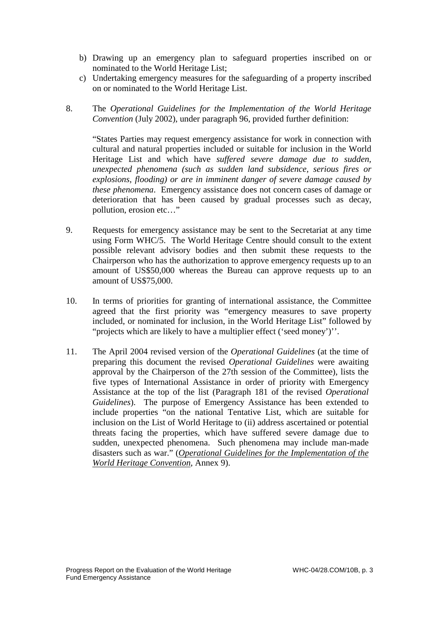- b) Drawing up an emergency plan to safeguard properties inscribed on or nominated to the World Heritage List;
- c) Undertaking emergency measures for the safeguarding of a property inscribed on or nominated to the World Heritage List.
- 8. The *Operational Guidelines for the Implementation of the World Heritage Convention* (July 2002), under paragraph 96, provided further definition:

"States Parties may request emergency assistance for work in connection with cultural and natural properties included or suitable for inclusion in the World Heritage List and which have *suffered severe damage due to sudden, unexpected phenomena (such as sudden land subsidence, serious fires or explosions, flooding) or are in imminent danger of severe damage caused by these phenomena*. Emergency assistance does not concern cases of damage or deterioration that has been caused by gradual processes such as decay, pollution, erosion etc…"

- 9. Requests for emergency assistance may be sent to the Secretariat at any time using Form WHC/5. The World Heritage Centre should consult to the extent possible relevant advisory bodies and then submit these requests to the Chairperson who has the authorization to approve emergency requests up to an amount of US\$50,000 whereas the Bureau can approve requests up to an amount of US\$75,000.
- 10. In terms of priorities for granting of international assistance, the Committee agreed that the first priority was "emergency measures to save property included, or nominated for inclusion, in the World Heritage List" followed by "projects which are likely to have a multiplier effect ('seed money')''.
- 11. The April 2004 revised version of the *Operational Guidelines* (at the time of preparing this document the revised *Operational Guidelines* were awaiting approval by the Chairperson of the 27th session of the Committee), lists the five types of International Assistance in order of priority with Emergency Assistance at the top of the list (Paragraph 181 of the revised *Operational Guidelines*). The purpose of Emergency Assistance has been extended to include properties "on the national Tentative List, which are suitable for inclusion on the List of World Heritage to (ii) address ascertained or potential threats facing the properties, which have suffered severe damage due to sudden, unexpected phenomena. Such phenomena may include man-made disasters such as war." (*Operational Guidelines for the Implementation of the World Heritage Convention*, Annex 9).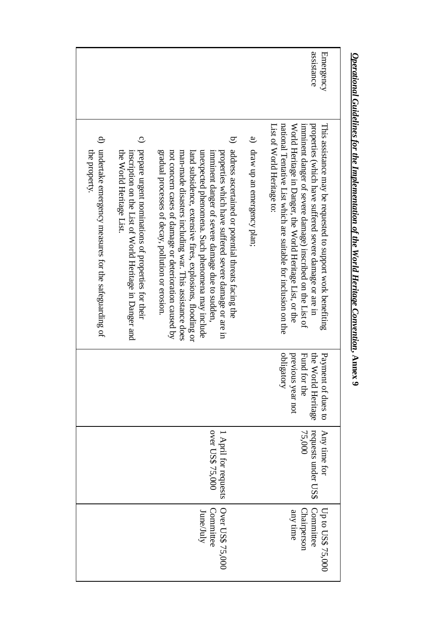|                                                                                                                                                                                                                                                  |                                                                                                                                                                                                                                                                                                                                                                                                                                                              |                               | assistance<br><b>Emergency</b>                                                                                                                                                                                                                                                                                                                     |
|--------------------------------------------------------------------------------------------------------------------------------------------------------------------------------------------------------------------------------------------------|--------------------------------------------------------------------------------------------------------------------------------------------------------------------------------------------------------------------------------------------------------------------------------------------------------------------------------------------------------------------------------------------------------------------------------------------------------------|-------------------------------|----------------------------------------------------------------------------------------------------------------------------------------------------------------------------------------------------------------------------------------------------------------------------------------------------------------------------------------------------|
| $\Theta$<br>$\overline{c}$<br>undertake emergency measures for the safeguarding of<br>prepare urgent nominations of properties for their<br>the property.<br>the World Heritage List.<br>inscription on the List of World Heritage in Danger and | b) address ascertained or potential threats facing the<br>gradual processes of decay, pollution or erosion<br>not concern cases of damage or deterioration caused by<br>man-made disasters including war. This assistance does<br>unexpected phenomena. Such phenomena may include<br>properties which have suffered severe damage or are in<br>land subsidence, extensive fires, explosions, tlooding or<br>imminent danger of severe damage due to sudden. | a) draw up an emergency plan; | national Tentative List which are suitable for inclusion on the<br>properties (which have suffered severe damage or are in<br>This assistance may be requested to support work benefiting<br>List of World Heritage to:<br>World Heritage in Danger, the World Heritage List, or the<br>imminent danger of severe damage) inscribed on the List of |
|                                                                                                                                                                                                                                                  |                                                                                                                                                                                                                                                                                                                                                                                                                                                              |                               | obligatory<br>the World Heritage<br>Payment of dues to<br>previous year not<br>Fund for the                                                                                                                                                                                                                                                        |
|                                                                                                                                                                                                                                                  | over US\$ 75,000<br>1 April for requests                                                                                                                                                                                                                                                                                                                                                                                                                     |                               | requests under US\$<br>Any time for<br>75,000                                                                                                                                                                                                                                                                                                      |
|                                                                                                                                                                                                                                                  | Over US\$ 75,000<br>Committee<br>June/July                                                                                                                                                                                                                                                                                                                                                                                                                   |                               | Committee<br>Up to US\$ 75,000<br>Chairperson<br>any time                                                                                                                                                                                                                                                                                          |

# *Operational Guidelines for the Implementation of the World Heritage Convention***Operational Guidelines for the Implementation of the World Heritage Convention, Annex 9**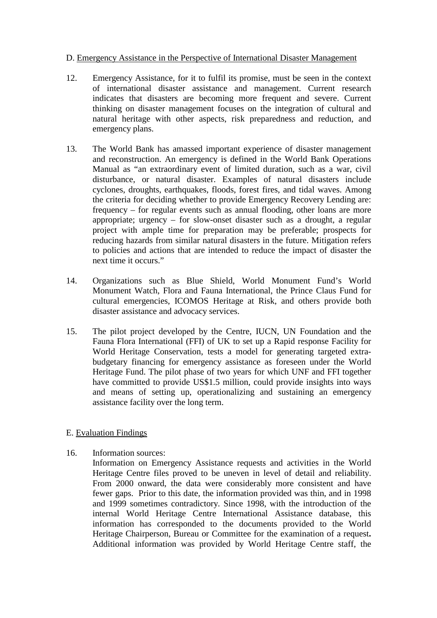#### D. Emergency Assistance in the Perspective of International Disaster Management

- 12. Emergency Assistance, for it to fulfil its promise, must be seen in the context of international disaster assistance and management. Current research indicates that disasters are becoming more frequent and severe. Current thinking on disaster management focuses on the integration of cultural and natural heritage with other aspects, risk preparedness and reduction, and emergency plans.
- 13. The World Bank has amassed important experience of disaster management and reconstruction. An emergency is defined in the World Bank Operations Manual as "an extraordinary event of limited duration, such as a war, civil disturbance, or natural disaster. Examples of natural disasters include cyclones, droughts, earthquakes, floods, forest fires, and tidal waves. Among the criteria for deciding whether to provide Emergency Recovery Lending are: frequency – for regular events such as annual flooding, other loans are more appropriate; urgency – for slow-onset disaster such as a drought, a regular project with ample time for preparation may be preferable; prospects for reducing hazards from similar natural disasters in the future. Mitigation refers to policies and actions that are intended to reduce the impact of disaster the next time it occurs."
- 14. Organizations such as Blue Shield, World Monument Fund's World Monument Watch, Flora and Fauna International, the Prince Claus Fund for cultural emergencies, ICOMOS Heritage at Risk, and others provide both disaster assistance and advocacy services.
- 15. The pilot project developed by the Centre, IUCN, UN Foundation and the Fauna Flora International (FFI) of UK to set up a Rapid response Facility for World Heritage Conservation, tests a model for generating targeted extrabudgetary financing for emergency assistance as foreseen under the World Heritage Fund. The pilot phase of two years for which UNF and FFI together have committed to provide US\$1.5 million, could provide insights into ways and means of setting up, operationalizing and sustaining an emergency assistance facility over the long term.

#### E. Evaluation Findings

16. Information sources:

Information on Emergency Assistance requests and activities in the World Heritage Centre files proved to be uneven in level of detail and reliability. From 2000 onward, the data were considerably more consistent and have fewer gaps. Prior to this date, the information provided was thin, and in 1998 and 1999 sometimes contradictory. Since 1998, with the introduction of the internal World Heritage Centre International Assistance database, this information has corresponded to the documents provided to the World Heritage Chairperson, Bureau or Committee for the examination of a request**.**  Additional information was provided by World Heritage Centre staff, the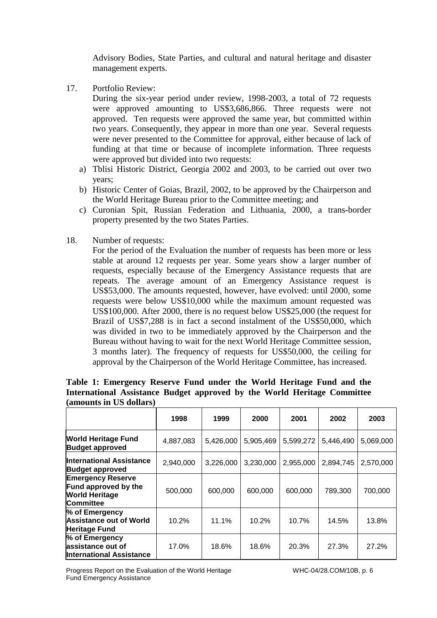Advisory Bodies, State Parties, and cultural and natural heritage and disaster management experts.

17. Portfolio Review:

During the six-year period under review, 1998-2003, a total of 72 requests were approved amounting to US\$3,686,866. Three requests were not approved. Ten requests were approved the same year, but committed within two years. Consequently, they appear in more than one year. Several requests were never presented to the Committee for approval, either because of lack of funding at that time or because of incomplete information. Three requests were approved but divided into two requests:

- a) Tblisi Historic District, Georgia 2002 and 2003, to be carried out over two years;
- b) Historic Center of Goias, Brazil, 2002, to be approved by the Chairperson and the World Heritage Bureau prior to the Committee meeting; and
- c) Curonian Spit, Russian Federation and Lithuania, 2000, a trans-border property presented by the two States Parties.
- 18. Number of requests:

For the period of the Evaluation the number of requests has been more or less stable at around 12 requests per year. Some years show a larger number of requests, especially because of the Emergency Assistance requests that are repeats. The average amount of an Emergency Assistance request is US\$53,000. The amounts requested, however, have evolved: until 2000, some requests were below US\$10,000 while the maximum amount requested was US\$100,000. After 2000, there is no request below US\$25,000 (the request for Brazil of US\$7,288 is in fact a second instalment of the US\$50,000, which was divided in two to be immediately approved by the Chairperson and the Bureau without having to wait for the next World Heritage Committee session, 3 months later). The frequency of requests for US\$50,000, the ceiling for approval by the Chairperson of the World Heritage Committee, has increased.

|                                                                                                      | 1998      | 1999      | 2000      | 2001      | 2002      | 2003      |  |  |
|------------------------------------------------------------------------------------------------------|-----------|-----------|-----------|-----------|-----------|-----------|--|--|
| <b>World Heritage Fund</b><br><b>Budget approved</b>                                                 | 4,887,083 | 5,426,000 | 5,905,469 | 5,599,272 | 5,446,490 | 5,069,000 |  |  |
| International Assistance<br><b>Budget approved</b>                                                   | 2,940,000 | 3,226,000 | 3,230,000 | 2,955,000 | 2,894,745 | 2,570,000 |  |  |
| <b>Emergency Reserve</b><br><b>Fund approved by the</b><br><b>World Heritage</b><br><b>Committee</b> | 500,000   | 600,000   | 600,000   | 600,000   | 789,300   | 700,000   |  |  |
| % of Emergency<br><b>Assistance out of World</b><br><b>Heritage Fund</b>                             | 10.2%     | 11.1%     | 10.2%     | 10.7%     | 14.5%     | 13.8%     |  |  |
| % of Emergency<br>assistance out of<br><b>International Assistance</b>                               | 17.0%     | 18.6%     | 18.6%     | 20.3%     | 27.3%     | 27.2%     |  |  |

#### **Table 1: Emergency Reserve Fund under the World Heritage Fund and the International Assistance Budget approved by the World Heritage Committee (amounts in US dollars)**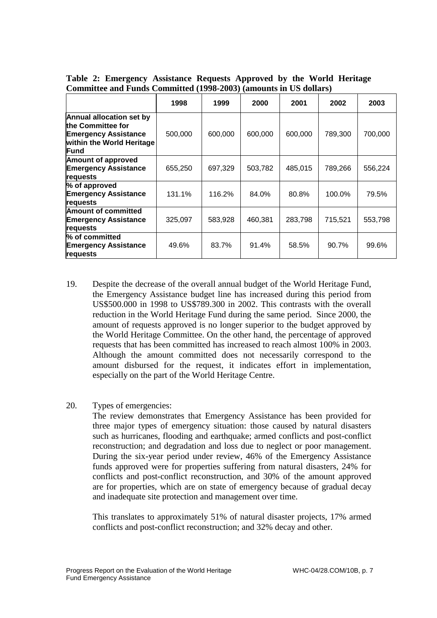|                                                                                                                            | 1998    | 1999    | 2000    | 2001    | 2002    | 2003    |
|----------------------------------------------------------------------------------------------------------------------------|---------|---------|---------|---------|---------|---------|
| <b>Annual allocation set by</b><br>lthe Committee for<br><b>Emergency Assistance</b><br>within the World Heritage<br>lFund | 500,000 | 600,000 | 600,000 | 600,000 | 789,300 | 700,000 |
| <b>Amount of approved</b><br><b>Emergency Assistance</b><br>requests                                                       | 655,250 | 697.329 | 503,782 | 485,015 | 789,266 | 556,224 |
| % of approved<br><b>Emergency Assistance</b><br>requests                                                                   | 131.1%  | 116.2%  | 84.0%   | 80.8%   | 100.0%  | 79.5%   |
| <b>Amount of committed</b><br><b>Emergency Assistance</b><br>requests                                                      | 325,097 | 583,928 | 460,381 | 283,798 | 715,521 | 553,798 |
| % of committed<br><b>Emergency Assistance</b><br>requests                                                                  | 49.6%   | 83.7%   | 91.4%   | 58.5%   | 90.7%   | 99.6%   |

**Table 2: Emergency Assistance Requests Approved by the World Heritage Committee and Funds Committed (1998-2003) (amounts in US dollars)** 

- 19. Despite the decrease of the overall annual budget of the World Heritage Fund, the Emergency Assistance budget line has increased during this period from US\$500.000 in 1998 to US\$789.300 in 2002. This contrasts with the overall reduction in the World Heritage Fund during the same period. Since 2000, the amount of requests approved is no longer superior to the budget approved by the World Heritage Committee. On the other hand, the percentage of approved requests that has been committed has increased to reach almost 100% in 2003. Although the amount committed does not necessarily correspond to the amount disbursed for the request, it indicates effort in implementation, especially on the part of the World Heritage Centre.
- 20. Types of emergencies:

The review demonstrates that Emergency Assistance has been provided for three major types of emergency situation: those caused by natural disasters such as hurricanes, flooding and earthquake; armed conflicts and post-conflict reconstruction; and degradation and loss due to neglect or poor management. During the six-year period under review, 46% of the Emergency Assistance funds approved were for properties suffering from natural disasters, 24% for conflicts and post-conflict reconstruction, and 30% of the amount approved are for properties, which are on state of emergency because of gradual decay and inadequate site protection and management over time.

This translates to approximately 51% of natural disaster projects, 17% armed conflicts and post-conflict reconstruction; and 32% decay and other.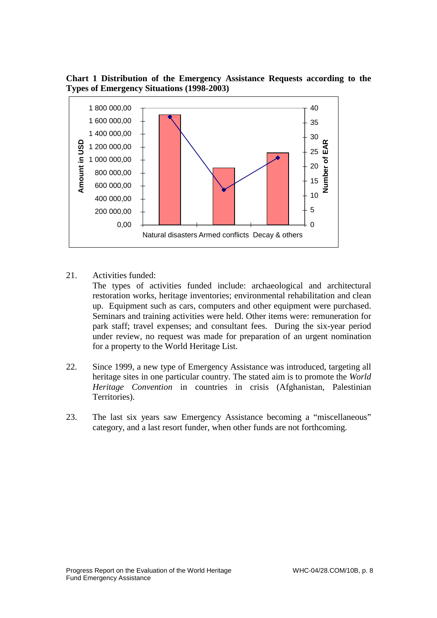**Chart 1 Distribution of the Emergency Assistance Requests according to the Types of Emergency Situations (1998-2003)** 



21. Activities funded:

The types of activities funded include: archaeological and architectural restoration works, heritage inventories; environmental rehabilitation and clean up. Equipment such as cars, computers and other equipment were purchased. Seminars and training activities were held. Other items were: remuneration for park staff; travel expenses; and consultant fees. During the six-year period under review, no request was made for preparation of an urgent nomination for a property to the World Heritage List.

- 22. Since 1999, a new type of Emergency Assistance was introduced, targeting all heritage sites in one particular country. The stated aim is to promote the *World Heritage Convention* in countries in crisis (Afghanistan, Palestinian Territories).
- 23. The last six years saw Emergency Assistance becoming a "miscellaneous" category, and a last resort funder, when other funds are not forthcoming.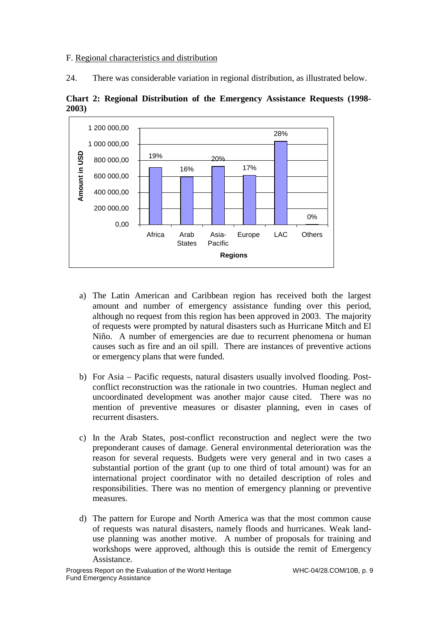#### F. Regional characteristics and distribution

24. There was considerable variation in regional distribution, as illustrated below.





- a) The Latin American and Caribbean region has received both the largest amount and number of emergency assistance funding over this period, although no request from this region has been approved in 2003. The majority of requests were prompted by natural disasters such as Hurricane Mitch and El Niño. A number of emergencies are due to recurrent phenomena or human causes such as fire and an oil spill. There are instances of preventive actions or emergency plans that were funded.
- b) For Asia Pacific requests, natural disasters usually involved flooding. Postconflict reconstruction was the rationale in two countries. Human neglect and uncoordinated development was another major cause cited. There was no mention of preventive measures or disaster planning, even in cases of recurrent disasters.
- c) In the Arab States, post-conflict reconstruction and neglect were the two preponderant causes of damage. General environmental deterioration was the reason for several requests. Budgets were very general and in two cases a substantial portion of the grant (up to one third of total amount) was for an international project coordinator with no detailed description of roles and responsibilities. There was no mention of emergency planning or preventive measures.
- d) The pattern for Europe and North America was that the most common cause of requests was natural disasters, namely floods and hurricanes. Weak landuse planning was another motive. A number of proposals for training and workshops were approved, although this is outside the remit of Emergency Assistance.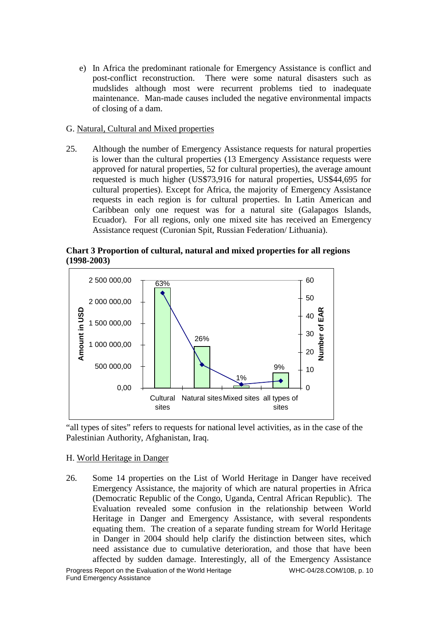e) In Africa the predominant rationale for Emergency Assistance is conflict and post-conflict reconstruction. There were some natural disasters such as mudslides although most were recurrent problems tied to inadequate maintenance. Man-made causes included the negative environmental impacts of closing of a dam.

#### G. Natural, Cultural and Mixed properties

25. Although the number of Emergency Assistance requests for natural properties is lower than the cultural properties (13 Emergency Assistance requests were approved for natural properties, 52 for cultural properties), the average amount requested is much higher (US\$73,916 for natural properties, US\$44,695 for cultural properties). Except for Africa, the majority of Emergency Assistance requests in each region is for cultural properties. In Latin American and Caribbean only one request was for a natural site (Galapagos Islands, Ecuador). For all regions, only one mixed site has received an Emergency Assistance request (Curonian Spit, Russian Federation/ Lithuania).





"all types of sites" refers to requests for national level activities, as in the case of the Palestinian Authority, Afghanistan, Iraq.

# H. World Heritage in Danger

26. Some 14 properties on the List of World Heritage in Danger have received Emergency Assistance, the majority of which are natural properties in Africa (Democratic Republic of the Congo, Uganda, Central African Republic). The Evaluation revealed some confusion in the relationship between World Heritage in Danger and Emergency Assistance, with several respondents equating them. The creation of a separate funding stream for World Heritage in Danger in 2004 should help clarify the distinction between sites, which need assistance due to cumulative deterioration, and those that have been affected by sudden damage. Interestingly, all of the Emergency Assistance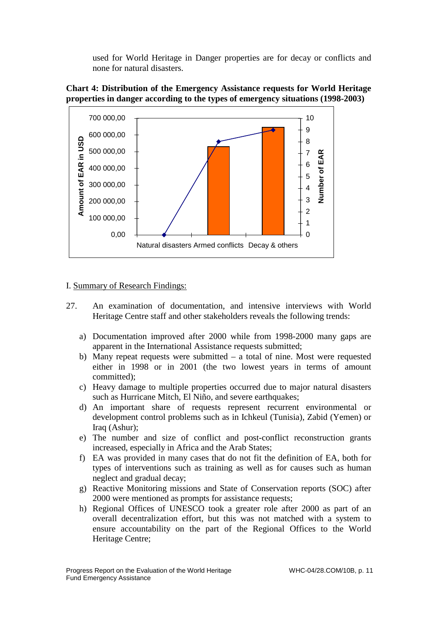used for World Heritage in Danger properties are for decay or conflicts and none for natural disasters.





#### I. Summary of Research Findings:

- 27. An examination of documentation, and intensive interviews with World Heritage Centre staff and other stakeholders reveals the following trends:
	- a) Documentation improved after 2000 while from 1998-2000 many gaps are apparent in the International Assistance requests submitted;
	- b) Many repeat requests were submitted a total of nine. Most were requested either in 1998 or in 2001 (the two lowest years in terms of amount committed);
	- c) Heavy damage to multiple properties occurred due to major natural disasters such as Hurricane Mitch, El Niño, and severe earthquakes;
	- d) An important share of requests represent recurrent environmental or development control problems such as in Ichkeul (Tunisia), Zabid (Yemen) or Iraq (Ashur);
	- e) The number and size of conflict and post-conflict reconstruction grants increased, especially in Africa and the Arab States;
	- f) EA was provided in many cases that do not fit the definition of EA, both for types of interventions such as training as well as for causes such as human neglect and gradual decay;
	- g) Reactive Monitoring missions and State of Conservation reports (SOC) after 2000 were mentioned as prompts for assistance requests;
	- h) Regional Offices of UNESCO took a greater role after 2000 as part of an overall decentralization effort, but this was not matched with a system to ensure accountability on the part of the Regional Offices to the World Heritage Centre;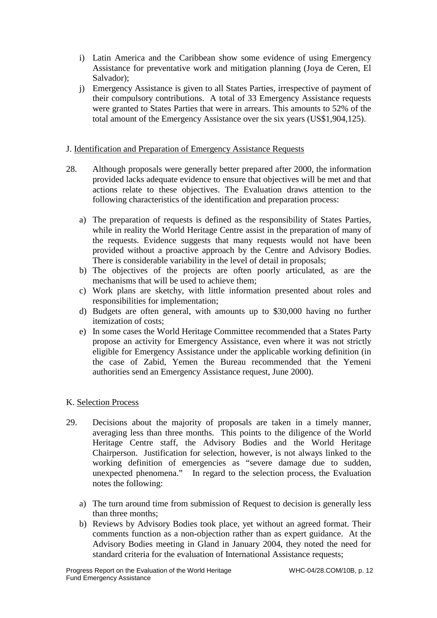- i) Latin America and the Caribbean show some evidence of using Emergency Assistance for preventative work and mitigation planning (Joya de Ceren, El Salvador);
- j) Emergency Assistance is given to all States Parties, irrespective of payment of their compulsory contributions. A total of 33 Emergency Assistance requests were granted to States Parties that were in arrears. This amounts to 52% of the total amount of the Emergency Assistance over the six years (US\$1,904,125).

# J. Identification and Preparation of Emergency Assistance Requests

- 28. Although proposals were generally better prepared after 2000, the information provided lacks adequate evidence to ensure that objectives will be met and that actions relate to these objectives. The Evaluation draws attention to the following characteristics of the identification and preparation process:
	- a) The preparation of requests is defined as the responsibility of States Parties, while in reality the World Heritage Centre assist in the preparation of many of the requests. Evidence suggests that many requests would not have been provided without a proactive approach by the Centre and Advisory Bodies. There is considerable variability in the level of detail in proposals;
	- b) The objectives of the projects are often poorly articulated, as are the mechanisms that will be used to achieve them;
	- c) Work plans are sketchy, with little information presented about roles and responsibilities for implementation;
	- d) Budgets are often general, with amounts up to \$30,000 having no further itemization of costs;
	- e) In some cases the World Heritage Committee recommended that a States Party propose an activity for Emergency Assistance, even where it was not strictly eligible for Emergency Assistance under the applicable working definition (in the case of Zabid, Yemen the Bureau recommended that the Yemeni authorities send an Emergency Assistance request, June 2000).

#### K. Selection Process

- 29. Decisions about the majority of proposals are taken in a timely manner, averaging less than three months. This points to the diligence of the World Heritage Centre staff, the Advisory Bodies and the World Heritage Chairperson. Justification for selection, however, is not always linked to the working definition of emergencies as "severe damage due to sudden, unexpected phenomena." In regard to the selection process, the Evaluation notes the following:
	- a) The turn around time from submission of Request to decision is generally less than three months;
	- b) Reviews by Advisory Bodies took place, yet without an agreed format. Their comments function as a non-objection rather than as expert guidance. At the Advisory Bodies meeting in Gland in January 2004, they noted the need for standard criteria for the evaluation of International Assistance requests;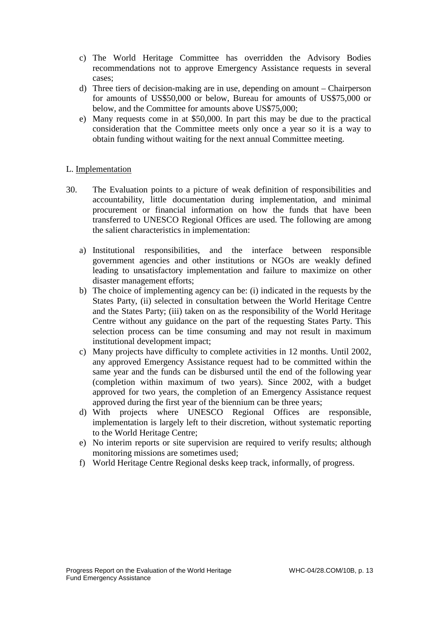- c) The World Heritage Committee has overridden the Advisory Bodies recommendations not to approve Emergency Assistance requests in several cases;
- d) Three tiers of decision-making are in use, depending on amount Chairperson for amounts of US\$50,000 or below, Bureau for amounts of US\$75,000 or below, and the Committee for amounts above US\$75,000;
- e) Many requests come in at \$50,000. In part this may be due to the practical consideration that the Committee meets only once a year so it is a way to obtain funding without waiting for the next annual Committee meeting.

#### L. Implementation

- 30. The Evaluation points to a picture of weak definition of responsibilities and accountability, little documentation during implementation, and minimal procurement or financial information on how the funds that have been transferred to UNESCO Regional Offices are used. The following are among the salient characteristics in implementation:
	- a) Institutional responsibilities, and the interface between responsible government agencies and other institutions or NGOs are weakly defined leading to unsatisfactory implementation and failure to maximize on other disaster management efforts;
	- b) The choice of implementing agency can be: (i) indicated in the requests by the States Party, (ii) selected in consultation between the World Heritage Centre and the States Party; (iii) taken on as the responsibility of the World Heritage Centre without any guidance on the part of the requesting States Party. This selection process can be time consuming and may not result in maximum institutional development impact;
	- c) Many projects have difficulty to complete activities in 12 months. Until 2002, any approved Emergency Assistance request had to be committed within the same year and the funds can be disbursed until the end of the following year (completion within maximum of two years). Since 2002, with a budget approved for two years, the completion of an Emergency Assistance request approved during the first year of the biennium can be three years;
	- d) With projects where UNESCO Regional Offices are responsible, implementation is largely left to their discretion, without systematic reporting to the World Heritage Centre;
	- e) No interim reports or site supervision are required to verify results; although monitoring missions are sometimes used;
	- f) World Heritage Centre Regional desks keep track, informally, of progress.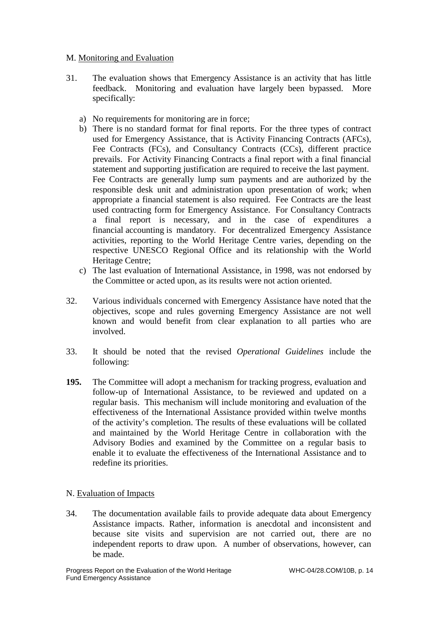# M. Monitoring and Evaluation

- 31. The evaluation shows that Emergency Assistance is an activity that has little feedback. Monitoring and evaluation have largely been bypassed. More specifically:
	- a) No requirements for monitoring are in force;
	- b) There is no standard format for final reports. For the three types of contract used for Emergency Assistance, that is Activity Financing Contracts (AFCs), Fee Contracts (FCs), and Consultancy Contracts (CCs), different practice prevails. For Activity Financing Contracts a final report with a final financial statement and supporting justification are required to receive the last payment. Fee Contracts are generally lump sum payments and are authorized by the responsible desk unit and administration upon presentation of work; when appropriate a financial statement is also required. Fee Contracts are the least used contracting form for Emergency Assistance. For Consultancy Contracts a final report is necessary, and in the case of expenditures a financial accounting is mandatory. For decentralized Emergency Assistance activities, reporting to the World Heritage Centre varies, depending on the respective UNESCO Regional Office and its relationship with the World Heritage Centre;
	- c) The last evaluation of International Assistance, in 1998, was not endorsed by the Committee or acted upon, as its results were not action oriented.
- 32. Various individuals concerned with Emergency Assistance have noted that the objectives, scope and rules governing Emergency Assistance are not well known and would benefit from clear explanation to all parties who are involved.
- 33. It should be noted that the revised *Operational Guidelines* include the following:
- **195.** The Committee will adopt a mechanism for tracking progress, evaluation and follow-up of International Assistance, to be reviewed and updated on a regular basis. This mechanism will include monitoring and evaluation of the effectiveness of the International Assistance provided within twelve months of the activity's completion. The results of these evaluations will be collated and maintained by the World Heritage Centre in collaboration with the Advisory Bodies and examined by the Committee on a regular basis to enable it to evaluate the effectiveness of the International Assistance and to redefine its priorities.

# N. Evaluation of Impacts

34. The documentation available fails to provide adequate data about Emergency Assistance impacts. Rather, information is anecdotal and inconsistent and because site visits and supervision are not carried out, there are no independent reports to draw upon. A number of observations, however, can be made.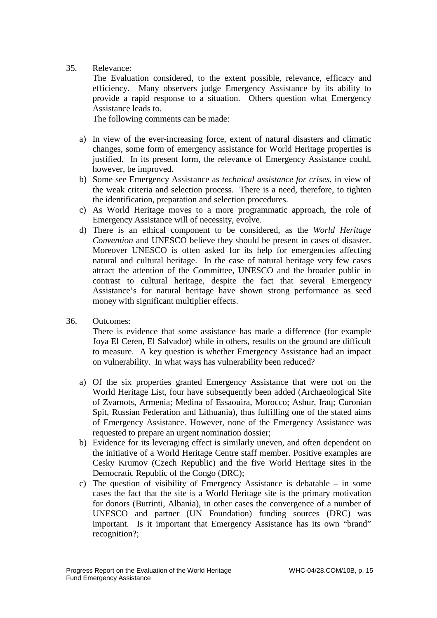# 35. Relevance:

The Evaluation considered, to the extent possible, relevance, efficacy and efficiency. Many observers judge Emergency Assistance by its ability to provide a rapid response to a situation. Others question what Emergency Assistance leads to.

The following comments can be made:

- a) In view of the ever-increasing force, extent of natural disasters and climatic changes, some form of emergency assistance for World Heritage properties is justified. In its present form, the relevance of Emergency Assistance could, however, be improved.
- b) Some see Emergency Assistance as *technical assistance for crises*, in view of the weak criteria and selection process. There is a need, therefore, to tighten the identification, preparation and selection procedures.
- c) As World Heritage moves to a more programmatic approach, the role of Emergency Assistance will of necessity, evolve.
- d) There is an ethical component to be considered, as the *World Heritage Convention* and UNESCO believe they should be present in cases of disaster. Moreover UNESCO is often asked for its help for emergencies affecting natural and cultural heritage. In the case of natural heritage very few cases attract the attention of the Committee, UNESCO and the broader public in contrast to cultural heritage, despite the fact that several Emergency Assistance's for natural heritage have shown strong performance as seed money with significant multiplier effects.
- 36. Outcomes:

There is evidence that some assistance has made a difference (for example Joya El Ceren, El Salvador) while in others, results on the ground are difficult to measure. A key question is whether Emergency Assistance had an impact on vulnerability. In what ways has vulnerability been reduced?

- a) Of the six properties granted Emergency Assistance that were not on the World Heritage List, four have subsequently been added (Archaeological Site of Zvarnots, Armenia; Medina of Essaouira, Morocco; Ashur, Iraq; Curonian Spit, Russian Federation and Lithuania), thus fulfilling one of the stated aims of Emergency Assistance. However, none of the Emergency Assistance was requested to prepare an urgent nomination dossier;
- b) Evidence for its leveraging effect is similarly uneven, and often dependent on the initiative of a World Heritage Centre staff member. Positive examples are Cesky Krumov (Czech Republic) and the five World Heritage sites in the Democratic Republic of the Congo (DRC);
- c) The question of visibility of Emergency Assistance is debatable in some cases the fact that the site is a World Heritage site is the primary motivation for donors (Butrinti, Albania), in other cases the convergence of a number of UNESCO and partner (UN Foundation) funding sources (DRC) was important. Is it important that Emergency Assistance has its own "brand" recognition?;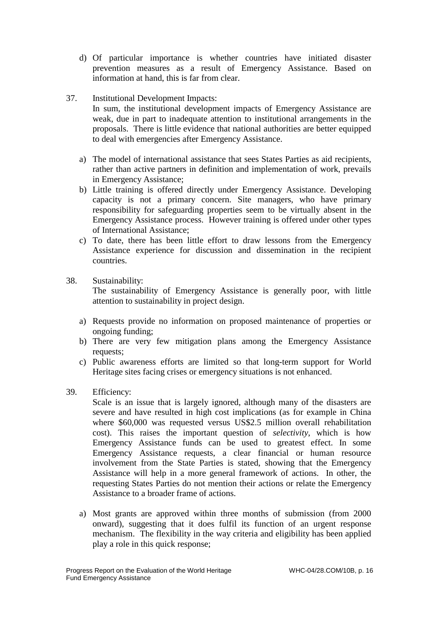- d) Of particular importance is whether countries have initiated disaster prevention measures as a result of Emergency Assistance. Based on information at hand, this is far from clear.
- 37. Institutional Development Impacts: In sum, the institutional development impacts of Emergency Assistance are weak, due in part to inadequate attention to institutional arrangements in the proposals. There is little evidence that national authorities are better equipped to deal with emergencies after Emergency Assistance.
	- a) The model of international assistance that sees States Parties as aid recipients, rather than active partners in definition and implementation of work, prevails in Emergency Assistance;
	- b) Little training is offered directly under Emergency Assistance. Developing capacity is not a primary concern. Site managers, who have primary responsibility for safeguarding properties seem to be virtually absent in the Emergency Assistance process. However training is offered under other types of International Assistance;
	- c) To date, there has been little effort to draw lessons from the Emergency Assistance experience for discussion and dissemination in the recipient countries.
- 38. Sustainability:

The sustainability of Emergency Assistance is generally poor, with little attention to sustainability in project design.

- a) Requests provide no information on proposed maintenance of properties or ongoing funding;
- b) There are very few mitigation plans among the Emergency Assistance requests;
- c) Public awareness efforts are limited so that long-term support for World Heritage sites facing crises or emergency situations is not enhanced.
- 39. Efficiency:

Scale is an issue that is largely ignored, although many of the disasters are severe and have resulted in high cost implications (as for example in China where \$60,000 was requested versus US\$2.5 million overall rehabilitation cost). This raises the important question of *selectivity*, which is how Emergency Assistance funds can be used to greatest effect. In some Emergency Assistance requests, a clear financial or human resource involvement from the State Parties is stated, showing that the Emergency Assistance will help in a more general framework of actions. In other, the requesting States Parties do not mention their actions or relate the Emergency Assistance to a broader frame of actions.

a) Most grants are approved within three months of submission (from 2000 onward), suggesting that it does fulfil its function of an urgent response mechanism. The flexibility in the way criteria and eligibility has been applied play a role in this quick response;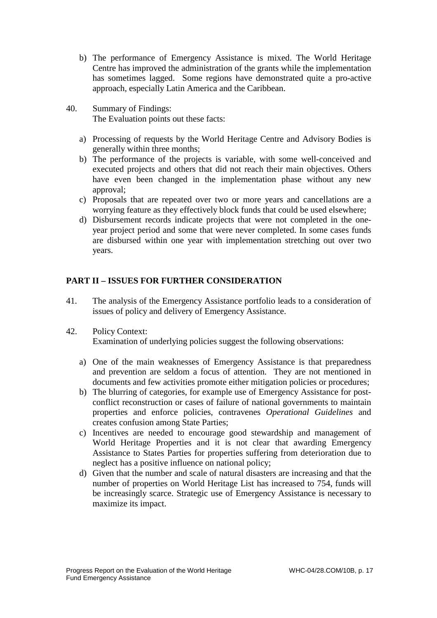- b) The performance of Emergency Assistance is mixed. The World Heritage Centre has improved the administration of the grants while the implementation has sometimes lagged. Some regions have demonstrated quite a pro-active approach, especially Latin America and the Caribbean.
- 40. Summary of Findings: The Evaluation points out these facts:
	- a) Processing of requests by the World Heritage Centre and Advisory Bodies is generally within three months;
	- b) The performance of the projects is variable, with some well-conceived and executed projects and others that did not reach their main objectives. Others have even been changed in the implementation phase without any new approval;
	- c) Proposals that are repeated over two or more years and cancellations are a worrying feature as they effectively block funds that could be used elsewhere;
	- d) Disbursement records indicate projects that were not completed in the oneyear project period and some that were never completed. In some cases funds are disbursed within one year with implementation stretching out over two years.

# **PART II – ISSUES FOR FURTHER CONSIDERATION**

- 41. The analysis of the Emergency Assistance portfolio leads to a consideration of issues of policy and delivery of Emergency Assistance.
- 42. Policy Context: Examination of underlying policies suggest the following observations:
	- a) One of the main weaknesses of Emergency Assistance is that preparedness and prevention are seldom a focus of attention. They are not mentioned in documents and few activities promote either mitigation policies or procedures;
	- b) The blurring of categories, for example use of Emergency Assistance for postconflict reconstruction or cases of failure of national governments to maintain properties and enforce policies, contravenes *Operational Guidelines* and creates confusion among State Parties;
	- c) Incentives are needed to encourage good stewardship and management of World Heritage Properties and it is not clear that awarding Emergency Assistance to States Parties for properties suffering from deterioration due to neglect has a positive influence on national policy;
	- d) Given that the number and scale of natural disasters are increasing and that the number of properties on World Heritage List has increased to 754, funds will be increasingly scarce. Strategic use of Emergency Assistance is necessary to maximize its impact.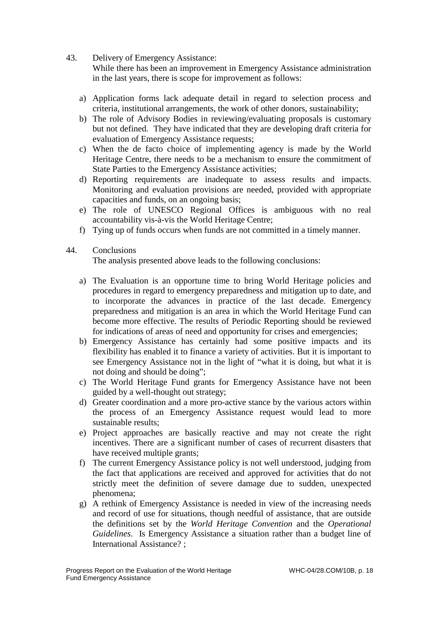43. Delivery of Emergency Assistance:

While there has been an improvement in Emergency Assistance administration in the last years, there is scope for improvement as follows:

- a) Application forms lack adequate detail in regard to selection process and criteria, institutional arrangements, the work of other donors, sustainability;
- b) The role of Advisory Bodies in reviewing/evaluating proposals is customary but not defined. They have indicated that they are developing draft criteria for evaluation of Emergency Assistance requests;
- c) When the de facto choice of implementing agency is made by the World Heritage Centre, there needs to be a mechanism to ensure the commitment of State Parties to the Emergency Assistance activities;
- d) Reporting requirements are inadequate to assess results and impacts. Monitoring and evaluation provisions are needed, provided with appropriate capacities and funds, on an ongoing basis;
- e) The role of UNESCO Regional Offices is ambiguous with no real accountability vis-à-vis the World Heritage Centre;
- f) Tying up of funds occurs when funds are not committed in a timely manner.
- 44. Conclusions

The analysis presented above leads to the following conclusions:

- a) The Evaluation is an opportune time to bring World Heritage policies and procedures in regard to emergency preparedness and mitigation up to date, and to incorporate the advances in practice of the last decade. Emergency preparedness and mitigation is an area in which the World Heritage Fund can become more effective. The results of Periodic Reporting should be reviewed for indications of areas of need and opportunity for crises and emergencies;
- b) Emergency Assistance has certainly had some positive impacts and its flexibility has enabled it to finance a variety of activities. But it is important to see Emergency Assistance not in the light of "what it is doing, but what it is not doing and should be doing";
- c) The World Heritage Fund grants for Emergency Assistance have not been guided by a well-thought out strategy;
- d) Greater coordination and a more pro-active stance by the various actors within the process of an Emergency Assistance request would lead to more sustainable results;
- e) Project approaches are basically reactive and may not create the right incentives. There are a significant number of cases of recurrent disasters that have received multiple grants;
- f) The current Emergency Assistance policy is not well understood, judging from the fact that applications are received and approved for activities that do not strictly meet the definition of severe damage due to sudden, unexpected phenomena;
- g) A rethink of Emergency Assistance is needed in view of the increasing needs and record of use for situations, though needful of assistance, that are outside the definitions set by the *World Heritage Convention* and the *Operational Guidelines*. Is Emergency Assistance a situation rather than a budget line of International Assistance? ;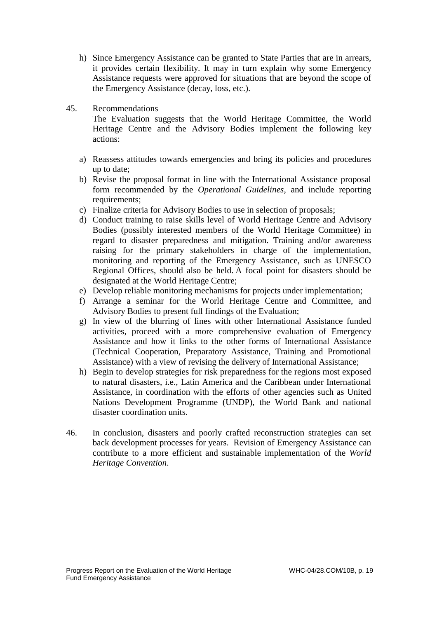- h) Since Emergency Assistance can be granted to State Parties that are in arrears, it provides certain flexibility. It may in turn explain why some Emergency Assistance requests were approved for situations that are beyond the scope of the Emergency Assistance (decay, loss, etc.).
- 45. Recommendations

The Evaluation suggests that the World Heritage Committee, the World Heritage Centre and the Advisory Bodies implement the following key actions:

- a) Reassess attitudes towards emergencies and bring its policies and procedures up to date;
- b) Revise the proposal format in line with the International Assistance proposal form recommended by the *Operational Guidelines*, and include reporting requirements:
- c) Finalize criteria for Advisory Bodies to use in selection of proposals;
- d) Conduct training to raise skills level of World Heritage Centre and Advisory Bodies (possibly interested members of the World Heritage Committee) in regard to disaster preparedness and mitigation. Training and/or awareness raising for the primary stakeholders in charge of the implementation, monitoring and reporting of the Emergency Assistance, such as UNESCO Regional Offices, should also be held. A focal point for disasters should be designated at the World Heritage Centre;
- e) Develop reliable monitoring mechanisms for projects under implementation;
- f) Arrange a seminar for the World Heritage Centre and Committee, and Advisory Bodies to present full findings of the Evaluation;
- g) In view of the blurring of lines with other International Assistance funded activities, proceed with a more comprehensive evaluation of Emergency Assistance and how it links to the other forms of International Assistance (Technical Cooperation, Preparatory Assistance, Training and Promotional Assistance) with a view of revising the delivery of International Assistance;
- h) Begin to develop strategies for risk preparedness for the regions most exposed to natural disasters, i.e., Latin America and the Caribbean under International Assistance, in coordination with the efforts of other agencies such as United Nations Development Programme (UNDP), the World Bank and national disaster coordination units.
- 46. In conclusion, disasters and poorly crafted reconstruction strategies can set back development processes for years. Revision of Emergency Assistance can contribute to a more efficient and sustainable implementation of the *World Heritage Convention*.